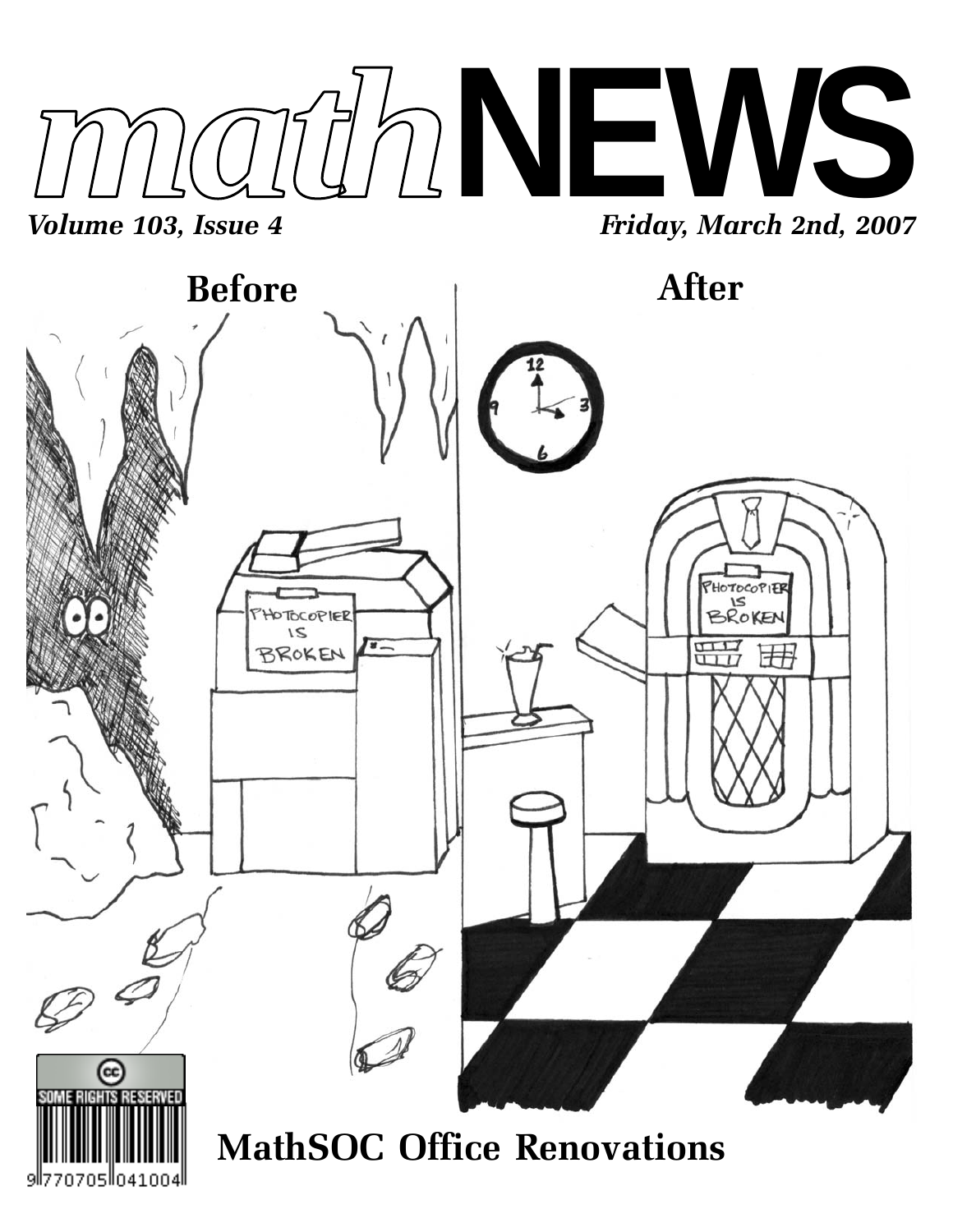

9ll7

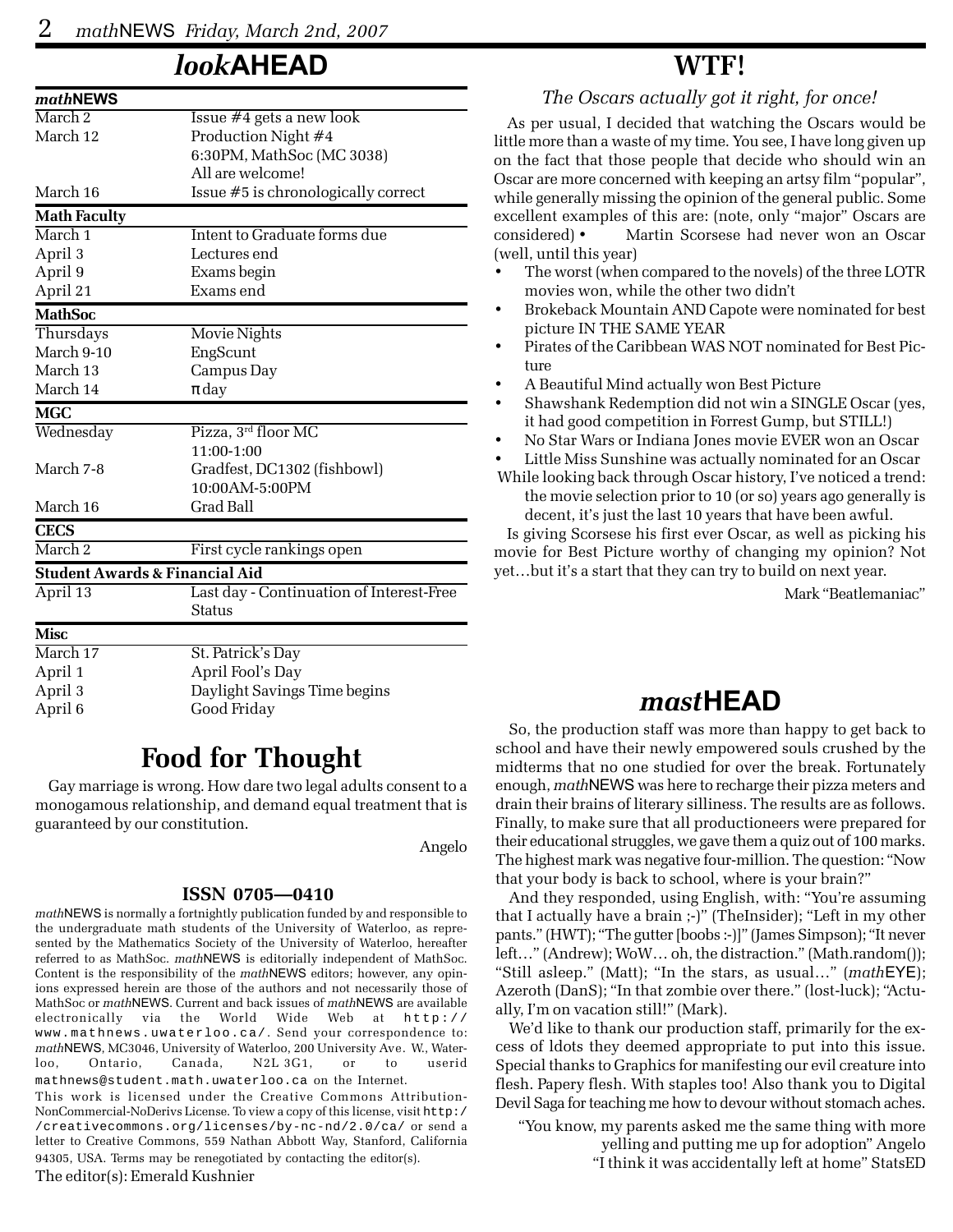## *look***AHEAD**

| Issue $#4$ gets a new look                |
|-------------------------------------------|
| Production Night #4                       |
| 6:30PM, MathSoc (MC 3038)                 |
| All are welcome!                          |
| Issue #5 is chronologically correct       |
|                                           |
| Intent to Graduate forms due              |
| Lectures end                              |
| Exams begin                               |
| Exams end                                 |
|                                           |
| Movie Nights                              |
| EngScunt                                  |
| Campus Day                                |
| $\pi$ day                                 |
|                                           |
| Pizza, 3rd floor MC                       |
| 11:00-1:00                                |
| Gradfest, DC1302 (fishbowl)               |
| 10:00 AM-5:00 PM                          |
| <b>Grad Ball</b>                          |
|                                           |
| First cycle rankings open                 |
| <b>Student Awards &amp; Financial Aid</b> |
| Last day - Continuation of Interest-Free  |
| Status                                    |
|                                           |
| St. Patrick's Day                         |
| April Fool's Day                          |
|                                           |
| Daylight Savings Time begins              |
|                                           |

## **Food for Thought**

Gay marriage is wrong. How dare two legal adults consent to a monogamous relationship, and demand equal treatment that is guaranteed by our constitution.

Angelo

#### **ISSN 0705—0410**

*math*NEWS is normally a fortnightly publication funded by and responsible to the undergraduate math students of the University of Waterloo, as represented by the Mathematics Society of the University of Waterloo, hereafter referred to as MathSoc. *math*NEWS is editorially independent of MathSoc. Content is the responsibility of the *math*NEWS editors; however, any opinions expressed herein are those of the authors and not necessarily those of MathSoc or *math*NEWS. Current and back issues of *math*NEWS are available electronically via the World Wide Web at http:// www.mathnews.uwaterloo.ca/. Send your correspondence to: *math*NEWS, MC3046, University of Waterloo, 200 University Ave. W., Waterloo, Ontario, Canada, N2L 3G1, or to userid mathnews@student.math.uwaterloo.ca on the Internet.

This work is licensed under the Creative Commons Attribution-NonCommercial-NoDerivs License. To view a copy of this license, visit http:/ /creativecommons.org/licenses/by-nc-nd/2.0/ca/ or send a letter to Creative Commons, 559 Nathan Abbott Way, Stanford, California 94305, USA. Terms may be renegotiated by contacting the editor(s).

#### The editor(s): Emerald Kushnier

### **WTF!**

*The Oscars actually got it right, for once!*

As per usual, I decided that watching the Oscars would be little more than a waste of my time. You see, I have long given up on the fact that those people that decide who should win an Oscar are more concerned with keeping an artsy film "popular", while generally missing the opinion of the general public. Some excellent examples of this are: (note, only "major" Oscars are considered) • Martin Scorsese had never won an Oscar (well, until this year)

- The worst (when compared to the novels) of the three LOTR movies won, while the other two didn't
- Brokeback Mountain AND Capote were nominated for best picture IN THE SAME YEAR
- Pirates of the Caribbean WAS NOT nominated for Best Picture
- A Beautiful Mind actually won Best Picture
- Shawshank Redemption did not win a SINGLE Oscar (yes, it had good competition in Forrest Gump, but STILL!)
- No Star Wars or Indiana Jones movie EVER won an Oscar

• Little Miss Sunshine was actually nominated for an Oscar

 While looking back through Oscar history, I've noticed a trend: the movie selection prior to 10 (or so) years ago generally is decent, it's just the last 10 years that have been awful.

Is giving Scorsese his first ever Oscar, as well as picking his movie for Best Picture worthy of changing my opinion? Not yet…but it's a start that they can try to build on next year.

Mark "Beatlemaniac"

## *mast***HEAD**

So, the production staff was more than happy to get back to school and have their newly empowered souls crushed by the midterms that no one studied for over the break. Fortunately enough, *math*NEWS was here to recharge their pizza meters and drain their brains of literary silliness. The results are as follows. Finally, to make sure that all productioneers were prepared for their educational struggles, we gave them a quiz out of 100 marks. The highest mark was negative four-million. The question: "Now that your body is back to school, where is your brain?"

And they responded, using English, with: "You're assuming that I actually have a brain ;-)" (TheInsider); "Left in my other pants." (HWT); "The gutter [boobs :-)]" (James Simpson); "It never left…" (Andrew); WoW… oh, the distraction." (Math.random()); "Still asleep." (Matt); "In the stars, as usual…" (*math*EYE); Azeroth (DanS); "In that zombie over there." (lost-luck); "Actually, I'm on vacation still!" (Mark).

We'd like to thank our production staff, primarily for the excess of ldots they deemed appropriate to put into this issue. Special thanks to Graphics for manifesting our evil creature into flesh. Papery flesh. With staples too! Also thank you to Digital Devil Saga for teaching me how to devour without stomach aches.

"You know, my parents asked me the same thing with more yelling and putting me up for adoption" Angelo "I think it was accidentally left at home" StatsED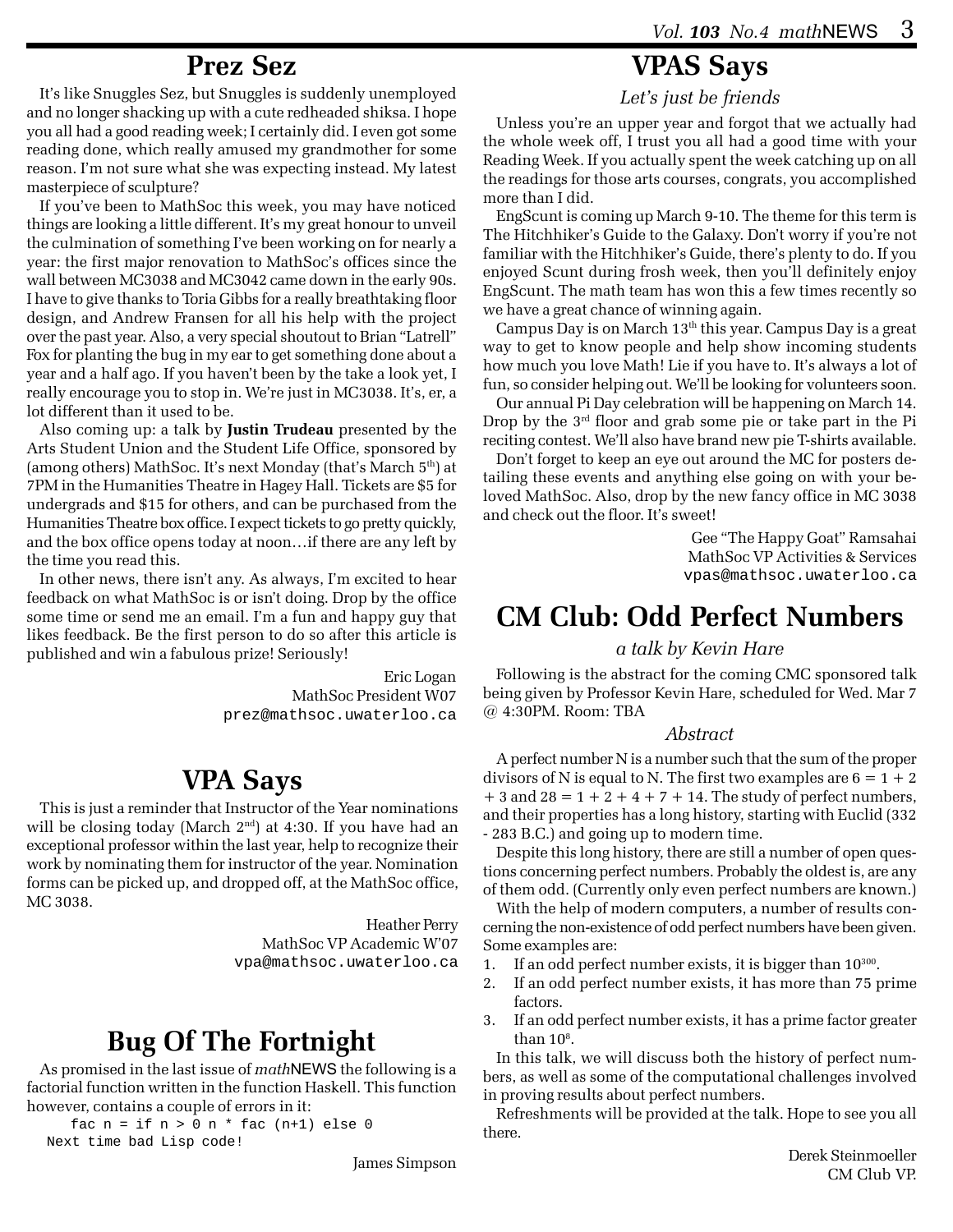### **Prez Sez**

It's like Snuggles Sez, but Snuggles is suddenly unemployed and no longer shacking up with a cute redheaded shiksa. I hope you all had a good reading week; I certainly did. I even got some reading done, which really amused my grandmother for some reason. I'm not sure what she was expecting instead. My latest masterpiece of sculpture?

If you've been to MathSoc this week, you may have noticed things are looking a little different. It's my great honour to unveil the culmination of something I've been working on for nearly a year: the first major renovation to MathSoc's offices since the wall between MC3038 and MC3042 came down in the early 90s. I have to give thanks to Toria Gibbs for a really breathtaking floor design, and Andrew Fransen for all his help with the project over the past year. Also, a very special shoutout to Brian "Latrell" Fox for planting the bug in my ear to get something done about a year and a half ago. If you haven't been by the take a look yet, I really encourage you to stop in. We're just in MC3038. It's, er, a lot different than it used to be.

Also coming up: a talk by **Justin Trudeau** presented by the Arts Student Union and the Student Life Office, sponsored by (among others) MathSoc. It's next Monday (that's March  $5<sup>th</sup>$ ) at 7PM in the Humanities Theatre in Hagey Hall. Tickets are \$5 for undergrads and \$15 for others, and can be purchased from the Humanities Theatre box office. I expect tickets to go pretty quickly, and the box office opens today at noon…if there are any left by the time you read this.

In other news, there isn't any. As always, I'm excited to hear feedback on what MathSoc is or isn't doing. Drop by the office some time or send me an email. I'm a fun and happy guy that likes feedback. Be the first person to do so after this article is published and win a fabulous prize! Seriously!

> Eric Logan MathSoc President W07 prez@mathsoc.uwaterloo.ca

## **VPA Says**

This is just a reminder that Instructor of the Year nominations will be closing today (March 2<sup>nd</sup>) at 4:30. If you have had an exceptional professor within the last year, help to recognize their work by nominating them for instructor of the year. Nomination forms can be picked up, and dropped off, at the MathSoc office, MC 3038.

> Heather Perry MathSoc VP Academic W'07 vpa@mathsoc.uwaterloo.ca

# **Bug Of The Fortnight**

As promised in the last issue of *math*NEWS the following is a factorial function written in the function Haskell. This function however, contains a couple of errors in it:

fac  $n = if n > 0 n * fac (n+1) else 0$ Next time bad Lisp code!

James Simpson

## **VPAS Says**

*Let's just be friends*

Unless you're an upper year and forgot that we actually had the whole week off, I trust you all had a good time with your Reading Week. If you actually spent the week catching up on all the readings for those arts courses, congrats, you accomplished more than I did.

EngScunt is coming up March 9-10. The theme for this term is The Hitchhiker's Guide to the Galaxy. Don't worry if you're not familiar with the Hitchhiker's Guide, there's plenty to do. If you enjoyed Scunt during frosh week, then you'll definitely enjoy EngScunt. The math team has won this a few times recently so we have a great chance of winning again.

Campus Day is on March  $13<sup>th</sup>$  this year. Campus Day is a great way to get to know people and help show incoming students how much you love Math! Lie if you have to. It's always a lot of fun, so consider helping out. We'll be looking for volunteers soon.

Our annual Pi Day celebration will be happening on March 14. Drop by the 3<sup>rd</sup> floor and grab some pie or take part in the Pi reciting contest. We'll also have brand new pie T-shirts available.

Don't forget to keep an eye out around the MC for posters detailing these events and anything else going on with your beloved MathSoc. Also, drop by the new fancy office in MC 3038 and check out the floor. It's sweet!

> Gee "The Happy Goat" Ramsahai MathSoc VP Activities & Services vpas@mathsoc.uwaterloo.ca

# **CM Club: Odd Perfect Numbers**

#### *a talk by Kevin Hare*

Following is the abstract for the coming CMC sponsored talk being given by Professor Kevin Hare, scheduled for Wed. Mar 7 @ 4:30PM. Room: TBA

#### *Abstract*

A perfect number N is a number such that the sum of the proper divisors of N is equal to N. The first two examples are  $6 = 1 + 2$  $+ 3$  and  $28 = 1 + 2 + 4 + 7 + 14$ . The study of perfect numbers, and their properties has a long history, starting with Euclid (332 - 283 B.C.) and going up to modern time.

Despite this long history, there are still a number of open questions concerning perfect numbers. Probably the oldest is, are any of them odd. (Currently only even perfect numbers are known.)

With the help of modern computers, a number of results concerning the non-existence of odd perfect numbers have been given. Some examples are:

- 1. If an odd perfect number exists, it is bigger than  $10^{300}$ .
- 2. If an odd perfect number exists, it has more than 75 prime factors.
- 3. If an odd perfect number exists, it has a prime factor greater than  $10^8$ .

In this talk, we will discuss both the history of perfect numbers, as well as some of the computational challenges involved in proving results about perfect numbers.

Refreshments will be provided at the talk. Hope to see you all there.

> Derek Steinmoeller CM Club VP.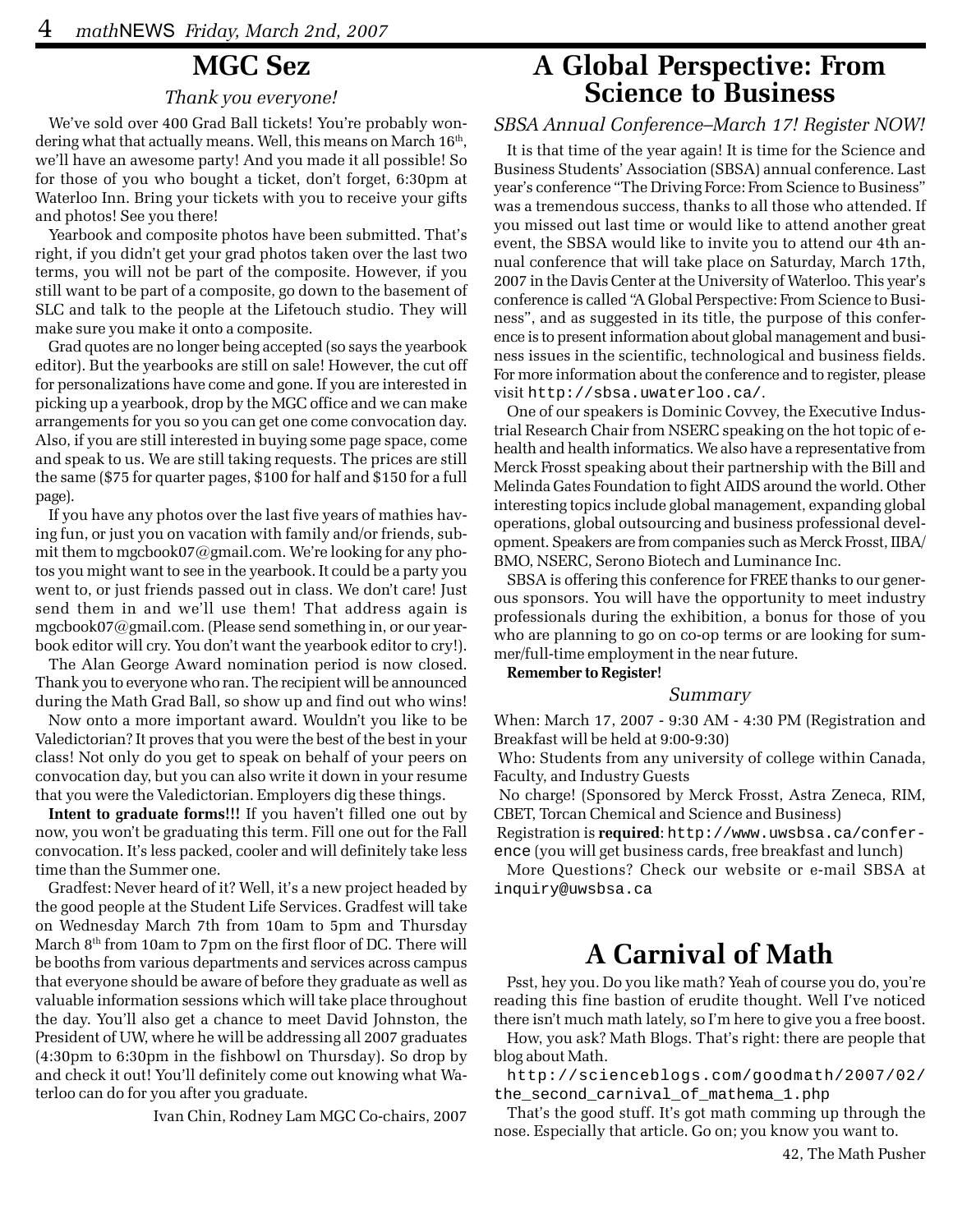### **MGC Sez**

#### *Thank you everyone!*

We've sold over 400 Grad Ball tickets! You're probably wondering what that actually means. Well, this means on March  $16<sup>th</sup>$ , we'll have an awesome party! And you made it all possible! So for those of you who bought a ticket, don't forget, 6:30pm at Waterloo Inn. Bring your tickets with you to receive your gifts and photos! See you there!

Yearbook and composite photos have been submitted. That's right, if you didn't get your grad photos taken over the last two terms, you will not be part of the composite. However, if you still want to be part of a composite, go down to the basement of SLC and talk to the people at the Lifetouch studio. They will make sure you make it onto a composite.

Grad quotes are no longer being accepted (so says the yearbook editor). But the yearbooks are still on sale! However, the cut off for personalizations have come and gone. If you are interested in picking up a yearbook, drop by the MGC office and we can make arrangements for you so you can get one come convocation day. Also, if you are still interested in buying some page space, come and speak to us. We are still taking requests. The prices are still the same (\$75 for quarter pages, \$100 for half and \$150 for a full page).

If you have any photos over the last five years of mathies having fun, or just you on vacation with family and/or friends, submit them to mgcbook07@gmail.com. We're looking for any photos you might want to see in the yearbook. It could be a party you went to, or just friends passed out in class. We don't care! Just send them in and we'll use them! That address again is mgcbook07@gmail.com. (Please send something in, or our yearbook editor will cry. You don't want the yearbook editor to cry!).

The Alan George Award nomination period is now closed. Thank you to everyone who ran. The recipient will be announced during the Math Grad Ball, so show up and find out who wins!

Now onto a more important award. Wouldn't you like to be Valedictorian? It proves that you were the best of the best in your class! Not only do you get to speak on behalf of your peers on convocation day, but you can also write it down in your resume that you were the Valedictorian. Employers dig these things.

**Intent to graduate forms!!!** If you haven't filled one out by now, you won't be graduating this term. Fill one out for the Fall convocation. It's less packed, cooler and will definitely take less time than the Summer one.

Gradfest: Never heard of it? Well, it's a new project headed by the good people at the Student Life Services. Gradfest will take on Wednesday March 7th from 10am to 5pm and Thursday March  $8<sup>th</sup>$  from 10am to 7pm on the first floor of DC. There will be booths from various departments and services across campus that everyone should be aware of before they graduate as well as valuable information sessions which will take place throughout the day. You'll also get a chance to meet David Johnston, the President of UW, where he will be addressing all 2007 graduates (4:30pm to 6:30pm in the fishbowl on Thursday). So drop by and check it out! You'll definitely come out knowing what Waterloo can do for you after you graduate.

Ivan Chin, Rodney Lam MGC Co-chairs, 2007

### **A Global Perspective: From Science to Business**

### *SBSA Annual Conference–March 17! Register NOW!*

It is that time of the year again! It is time for the Science and Business Students' Association (SBSA) annual conference. Last year's conference "The Driving Force: From Science to Business" was a tremendous success, thanks to all those who attended. If you missed out last time or would like to attend another great event, the SBSA would like to invite you to attend our 4th annual conference that will take place on Saturday, March 17th, 2007 in the Davis Center at the University of Waterloo. This year's conference is called "A Global Perspective: From Science to Business", and as suggested in its title, the purpose of this conference is to present information about global management and business issues in the scientific, technological and business fields. For more information about the conference and to register, please visit http://sbsa.uwaterloo.ca/.

One of our speakers is Dominic Covvey, the Executive Industrial Research Chair from NSERC speaking on the hot topic of ehealth and health informatics. We also have a representative from Merck Frosst speaking about their partnership with the Bill and Melinda Gates Foundation to fight AIDS around the world. Other interesting topics include global management, expanding global operations, global outsourcing and business professional development. Speakers are from companies such as Merck Frosst, IIBA/ BMO, NSERC, Serono Biotech and Luminance Inc.

SBSA is offering this conference for FREE thanks to our generous sponsors. You will have the opportunity to meet industry professionals during the exhibition, a bonus for those of you who are planning to go on co-op terms or are looking for summer/full-time employment in the near future.

**Remember to Register!**

#### *Summary*

When: March 17, 2007 - 9:30 AM - 4:30 PM (Registration and Breakfast will be held at 9:00-9:30)

 Who: Students from any university of college within Canada, Faculty, and Industry Guests

 No charge! (Sponsored by Merck Frosst, Astra Zeneca, RIM, CBET, Torcan Chemical and Science and Business)

 Registration is **required**: http://www.uwsbsa.ca/conference (you will get business cards, free breakfast and lunch)

More Questions? Check our website or e-mail SBSA at inquiry@uwsbsa.ca

## **A Carnival of Math**

Psst, hey you. Do you like math? Yeah of course you do, you're reading this fine bastion of erudite thought. Well I've noticed there isn't much math lately, so I'm here to give you a free boost.

How, you ask? Math Blogs. That's right: there are people that blog about Math.

http://scienceblogs.com/goodmath/2007/02/ the\_second\_carnival\_of\_mathema\_1.php

That's the good stuff. It's got math comming up through the nose. Especially that article. Go on; you know you want to.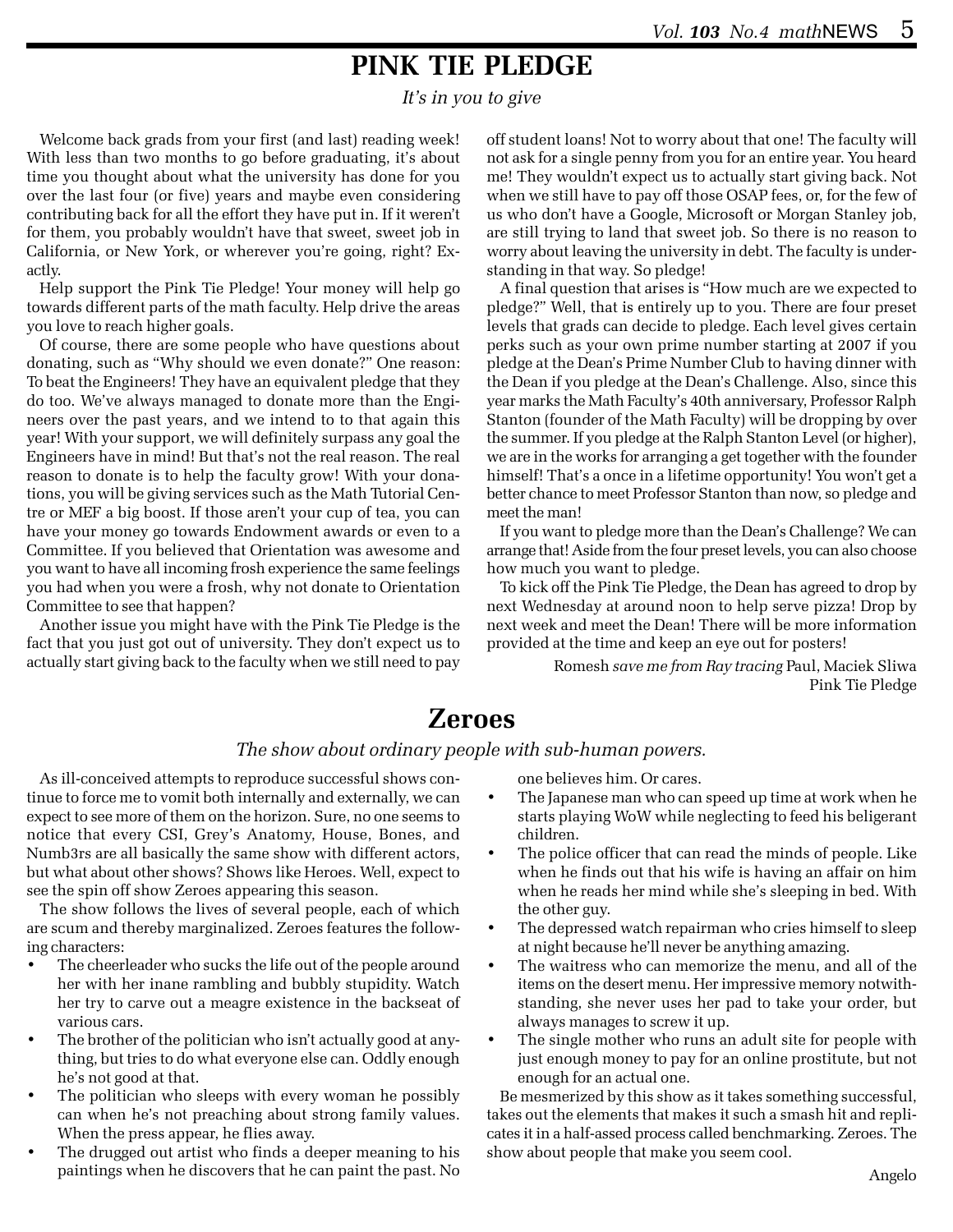## **PINK TIE PLEDGE**

*It's in you to give*

Welcome back grads from your first (and last) reading week! With less than two months to go before graduating, it's about time you thought about what the university has done for you over the last four (or five) years and maybe even considering contributing back for all the effort they have put in. If it weren't for them, you probably wouldn't have that sweet, sweet job in California, or New York, or wherever you're going, right? Exactly.

Help support the Pink Tie Pledge! Your money will help go towards different parts of the math faculty. Help drive the areas you love to reach higher goals.

Of course, there are some people who have questions about donating, such as "Why should we even donate?" One reason: To beat the Engineers! They have an equivalent pledge that they do too. We've always managed to donate more than the Engineers over the past years, and we intend to to that again this year! With your support, we will definitely surpass any goal the Engineers have in mind! But that's not the real reason. The real reason to donate is to help the faculty grow! With your donations, you will be giving services such as the Math Tutorial Centre or MEF a big boost. If those aren't your cup of tea, you can have your money go towards Endowment awards or even to a Committee. If you believed that Orientation was awesome and you want to have all incoming frosh experience the same feelings you had when you were a frosh, why not donate to Orientation Committee to see that happen?

Another issue you might have with the Pink Tie Pledge is the fact that you just got out of university. They don't expect us to actually start giving back to the faculty when we still need to pay

off student loans! Not to worry about that one! The faculty will not ask for a single penny from you for an entire year. You heard me! They wouldn't expect us to actually start giving back. Not when we still have to pay off those OSAP fees, or, for the few of us who don't have a Google, Microsoft or Morgan Stanley job, are still trying to land that sweet job. So there is no reason to worry about leaving the university in debt. The faculty is understanding in that way. So pledge!

A final question that arises is "How much are we expected to pledge?" Well, that is entirely up to you. There are four preset levels that grads can decide to pledge. Each level gives certain perks such as your own prime number starting at 2007 if you pledge at the Dean's Prime Number Club to having dinner with the Dean if you pledge at the Dean's Challenge. Also, since this year marks the Math Faculty's 40th anniversary, Professor Ralph Stanton (founder of the Math Faculty) will be dropping by over the summer. If you pledge at the Ralph Stanton Level (or higher), we are in the works for arranging a get together with the founder himself! That's a once in a lifetime opportunity! You won't get a better chance to meet Professor Stanton than now, so pledge and meet the man!

If you want to pledge more than the Dean's Challenge? We can arrange that! Aside from the four preset levels, you can also choose how much you want to pledge.

To kick off the Pink Tie Pledge, the Dean has agreed to drop by next Wednesday at around noon to help serve pizza! Drop by next week and meet the Dean! There will be more information provided at the time and keep an eye out for posters!

> Romesh *save me from Ray tracing* Paul, Maciek Sliwa Pink Tie Pledge

### **Zeroes**

#### *The show about ordinary people with sub-human powers.*

As ill-conceived attempts to reproduce successful shows continue to force me to vomit both internally and externally, we can expect to see more of them on the horizon. Sure, no one seems to notice that every CSI, Grey's Anatomy, House, Bones, and Numb3rs are all basically the same show with different actors, but what about other shows? Shows like Heroes. Well, expect to see the spin off show Zeroes appearing this season.

The show follows the lives of several people, each of which are scum and thereby marginalized. Zeroes features the following characters:

- The cheerleader who sucks the life out of the people around her with her inane rambling and bubbly stupidity. Watch her try to carve out a meagre existence in the backseat of various cars.
- The brother of the politician who isn't actually good at anything, but tries to do what everyone else can. Oddly enough he's not good at that.
- The politician who sleeps with every woman he possibly can when he's not preaching about strong family values. When the press appear, he flies away.
- The drugged out artist who finds a deeper meaning to his paintings when he discovers that he can paint the past. No

one believes him. Or cares.

- The Japanese man who can speed up time at work when he starts playing WoW while neglecting to feed his beligerant children.
- The police officer that can read the minds of people. Like when he finds out that his wife is having an affair on him when he reads her mind while she's sleeping in bed. With the other guy.
- The depressed watch repairman who cries himself to sleep at night because he'll never be anything amazing.
- The waitress who can memorize the menu, and all of the items on the desert menu. Her impressive memory notwithstanding, she never uses her pad to take your order, but always manages to screw it up.
- The single mother who runs an adult site for people with just enough money to pay for an online prostitute, but not enough for an actual one.

Be mesmerized by this show as it takes something successful, takes out the elements that makes it such a smash hit and replicates it in a half-assed process called benchmarking. Zeroes. The show about people that make you seem cool.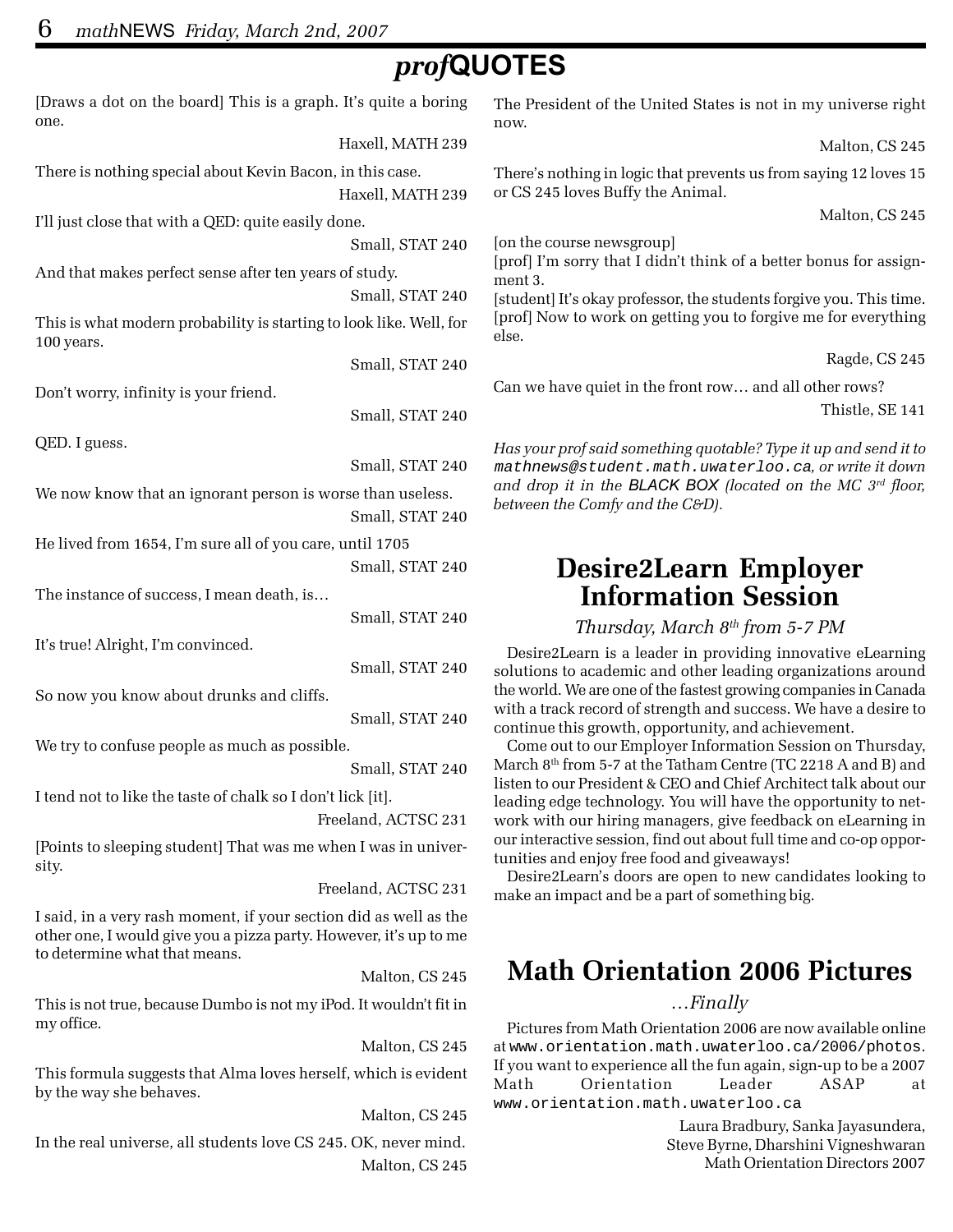# *prof***QUOTES**

[Draws a dot on the board] This is a graph. It's quite a boring one. Haxell, MATH 239 There is nothing special about Kevin Bacon, in this case. Haxell, MATH 239 I'll just close that with a QED: quite easily done. Small, STAT 240 And that makes perfect sense after ten years of study. Small, STAT 240 This is what modern probability is starting to look like. Well, for 100 years. Small, STAT 240 Don't worry, infinity is your friend. Small, STAT 240 QED. I guess. Small, STAT 240 We now know that an ignorant person is worse than useless. Small, STAT 240 He lived from 1654, I'm sure all of you care, until 1705 Small, STAT 240 The instance of success, I mean death, is… Small, STAT 240 It's true! Alright, I'm convinced. Small, STAT 240 So now you know about drunks and cliffs. Small, STAT 240 We try to confuse people as much as possible. Small, STAT 240 I tend not to like the taste of chalk so I don't lick [it]. Freeland, ACTSC 231 [Points to sleeping student] That was me when I was in university. Freeland, ACTSC 231 I said, in a very rash moment, if your section did as well as the other one, I would give you a pizza party. However, it's up to me to determine what that means. Malton, CS 245 This is not true, because Dumbo is not my iPod. It wouldn't fit in my office. Malton, CS 245 This formula suggests that Alma loves herself, which is evident by the way she behaves. Malton, CS 245

In the real universe, all students love CS 245. OK, never mind. Malton, CS 245 The President of the United States is not in my universe right now.

Malton, CS 245

There's nothing in logic that prevents us from saying 12 loves 15 or CS 245 loves Buffy the Animal.

Malton, CS 245

[on the course newsgroup]

[prof] I'm sorry that I didn't think of a better bonus for assignment 3.

[student] It's okay professor, the students forgive you. This time. [prof] Now to work on getting you to forgive me for everything else.

Ragde, CS 245

Can we have quiet in the front row… and all other rows?

Thistle, SE 141

*Has your prof said something quotable? Type it up and send it to* mathnews@student.math.uwaterloo.ca*, or write it down and drop it in the BLACK BOX (located on the MC 3rd floor, between the Comfy and the C&D).*

## **Desire2Learn Employer Information Session**

### *Thursday, March 8th from 5-7 PM*

Desire2Learn is a leader in providing innovative eLearning solutions to academic and other leading organizations around the world. We are one of the fastest growing companies in Canada with a track record of strength and success. We have a desire to continue this growth, opportunity, and achievement.

Come out to our Employer Information Session on Thursday, March 8<sup>th</sup> from 5-7 at the Tatham Centre (TC 2218 A and B) and listen to our President & CEO and Chief Architect talk about our leading edge technology. You will have the opportunity to network with our hiring managers, give feedback on eLearning in our interactive session, find out about full time and co-op opportunities and enjoy free food and giveaways!

Desire2Learn's doors are open to new candidates looking to make an impact and be a part of something big.

# **Math Orientation 2006 Pictures**

#### *…Finally*

Pictures from Math Orientation 2006 are now available online at www.orientation.math.uwaterloo.ca/2006/photos. If you want to experience all the fun again, sign-up to be a 2007 Math Orientation Leader ASAP at www.orientation.math.uwaterloo.ca

> Laura Bradbury, Sanka Jayasundera, Steve Byrne, Dharshini Vigneshwaran Math Orientation Directors 2007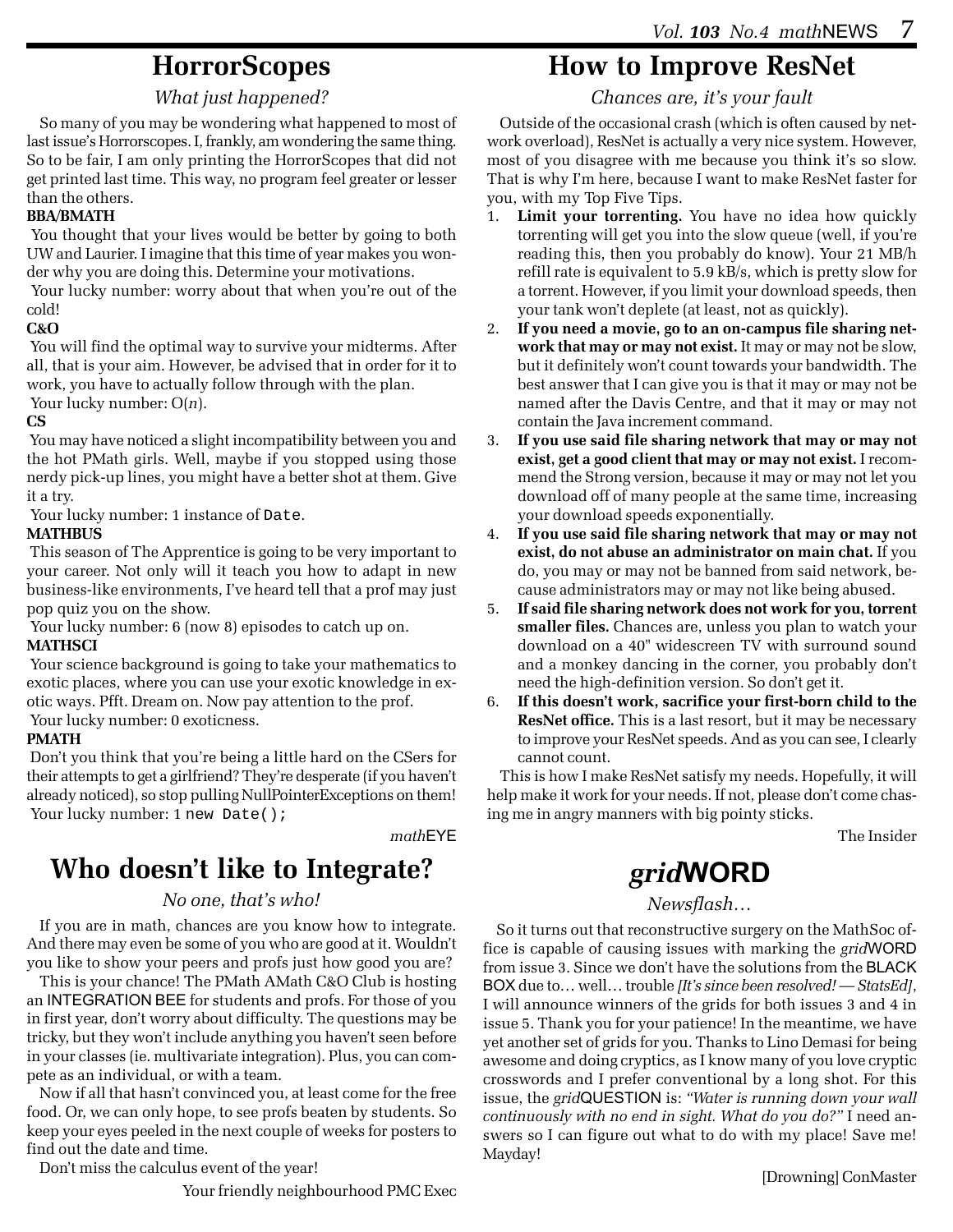## **HorrorScopes**

#### *What just happened?*

So many of you may be wondering what happened to most of last issue's Horrorscopes. I, frankly, am wondering the same thing. So to be fair, I am only printing the HorrorScopes that did not get printed last time. This way, no program feel greater or lesser than the others.

#### **BBA/BMATH**

 You thought that your lives would be better by going to both UW and Laurier. I imagine that this time of year makes you wonder why you are doing this. Determine your motivations.

 Your lucky number: worry about that when you're out of the cold!

#### **C&O**

 You will find the optimal way to survive your midterms. After all, that is your aim. However, be advised that in order for it to work, you have to actually follow through with the plan. Your lucky number: O(*n*).

#### **CS**

 You may have noticed a slight incompatibility between you and the hot PMath girls. Well, maybe if you stopped using those nerdy pick-up lines, you might have a better shot at them. Give it a try.

Your lucky number: 1 instance of Date.

#### **MATHBUS**

 This season of The Apprentice is going to be very important to your career. Not only will it teach you how to adapt in new business-like environments, I've heard tell that a prof may just pop quiz you on the show.

Your lucky number: 6 (now 8) episodes to catch up on.

#### **MATHSCI**

 Your science background is going to take your mathematics to exotic places, where you can use your exotic knowledge in exotic ways. Pfft. Dream on. Now pay attention to the prof. Your lucky number: 0 exoticness.

#### **PMATH**

 Don't you think that you're being a little hard on the CSers for their attempts to get a girlfriend? They're desperate (if you haven't already noticed), so stop pulling NullPointerExceptions on them! Your lucky number: 1 new Date();

*math*EYE

# **Who doesn't like to Integrate?**

#### *No one, that's who!*

If you are in math, chances are you know how to integrate. And there may even be some of you who are good at it. Wouldn't you like to show your peers and profs just how good you are?

This is your chance! The PMath AMath C&O Club is hosting an INTEGRATION BEE for students and profs. For those of you in first year, don't worry about difficulty. The questions may be tricky, but they won't include anything you haven't seen before in your classes (ie. multivariate integration). Plus, you can compete as an individual, or with a team.

Now if all that hasn't convinced you, at least come for the free food. Or, we can only hope, to see profs beaten by students. So keep your eyes peeled in the next couple of weeks for posters to find out the date and time.

Don't miss the calculus event of the year!

Your friendly neighbourhood PMC Exec

## **How to Improve ResNet**

*Chances are, it's your fault*

Outside of the occasional crash (which is often caused by network overload), ResNet is actually a very nice system. However, most of you disagree with me because you think it's so slow. That is why I'm here, because I want to make ResNet faster for you, with my Top Five Tips.

- 1. **Limit your torrenting.** You have no idea how quickly torrenting will get you into the slow queue (well, if you're reading this, then you probably do know). Your 21 MB/h refill rate is equivalent to 5.9 kB/s, which is pretty slow for a torrent. However, if you limit your download speeds, then your tank won't deplete (at least, not as quickly).
- 2. **If you need a movie, go to an on-campus file sharing network that may or may not exist.** It may or may not be slow, but it definitely won't count towards your bandwidth. The best answer that I can give you is that it may or may not be named after the Davis Centre, and that it may or may not contain the Java increment command.
- 3. **If you use said file sharing network that may or may not exist, get a good client that may or may not exist.** I recommend the Strong version, because it may or may not let you download off of many people at the same time, increasing your download speeds exponentially.
- 4. **If you use said file sharing network that may or may not exist, do not abuse an administrator on main chat.** If you do, you may or may not be banned from said network, because administrators may or may not like being abused.
- 5. **If said file sharing network does not work for you, torrent smaller files.** Chances are, unless you plan to watch your download on a 40" widescreen TV with surround sound and a monkey dancing in the corner, you probably don't need the high-definition version. So don't get it.
- 6. **If this doesn't work, sacrifice your first-born child to the ResNet office.** This is a last resort, but it may be necessary to improve your ResNet speeds. And as you can see, I clearly cannot count.

This is how I make ResNet satisfy my needs. Hopefully, it will help make it work for your needs. If not, please don't come chasing me in angry manners with big pointy sticks.

The Insider

# *grid***WORD**

#### *Newsflash…*

So it turns out that reconstructive surgery on the MathSoc office is capable of causing issues with marking the *grid*WORD from issue 3. Since we don't have the solutions from the BLACK BOX due to… well… trouble *[It's since been resolved! — StatsEd]*, I will announce winners of the grids for both issues 3 and 4 in issue 5. Thank you for your patience! In the meantime, we have yet another set of grids for you. Thanks to Lino Demasi for being awesome and doing cryptics, as I know many of you love cryptic crosswords and I prefer conventional by a long shot. For this issue, the *grid*QUESTION is: *"Water is running down your wall continuously with no end in sight. What do you do?"* I need answers so I can figure out what to do with my place! Save me! Mayday!

[Drowning] ConMaster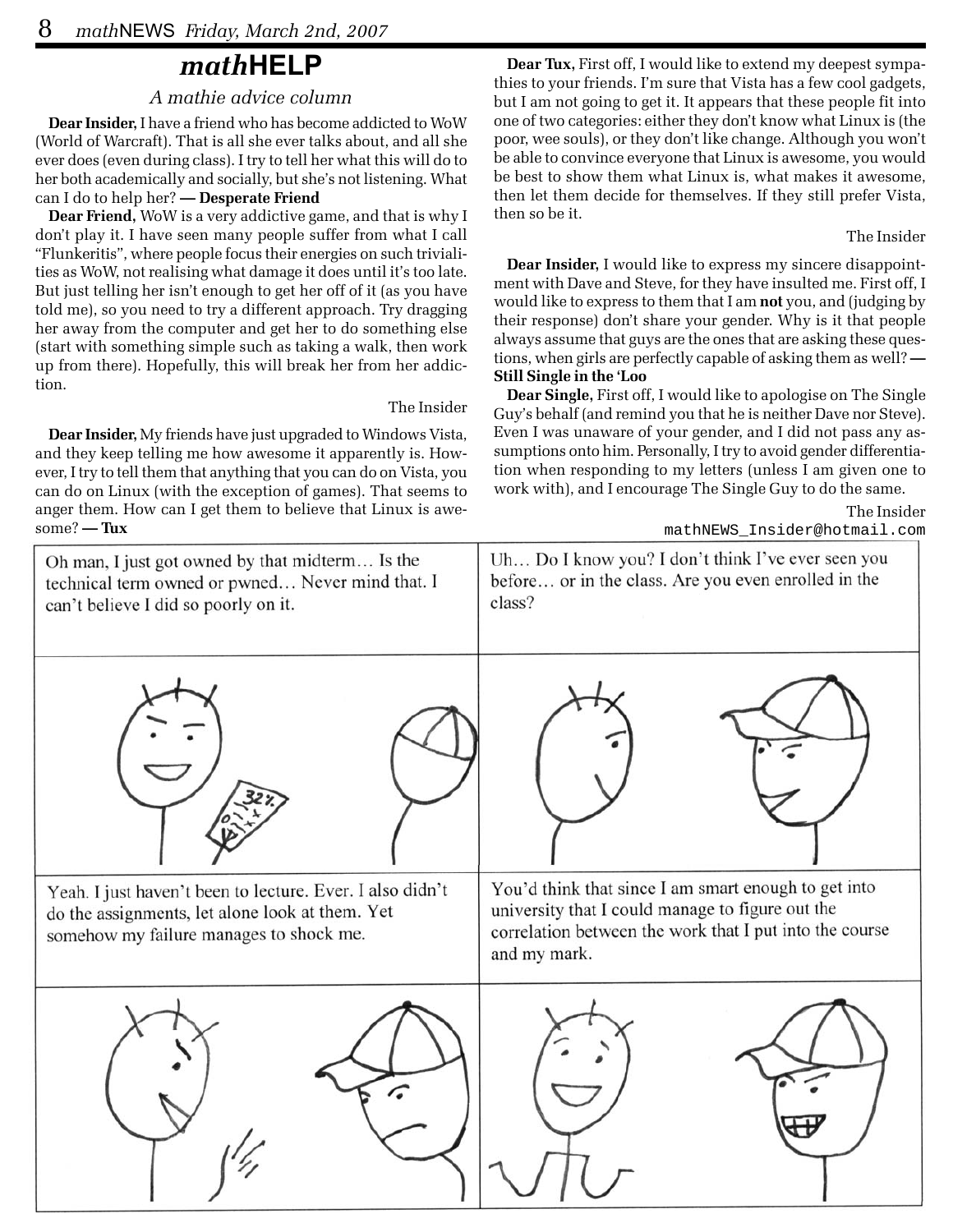## *math***HELP**

#### *A mathie advice column*

**Dear Insider,** I have a friend who has become addicted to WoW (World of Warcraft). That is all she ever talks about, and all she ever does (even during class). I try to tell her what this will do to her both academically and socially, but she's not listening. What can I do to help her? **— Desperate Friend**

**Dear Friend,** WoW is a very addictive game, and that is why I don't play it. I have seen many people suffer from what I call "Flunkeritis", where people focus their energies on such trivialities as WoW, not realising what damage it does until it's too late. But just telling her isn't enough to get her off of it (as you have told me), so you need to try a different approach. Try dragging her away from the computer and get her to do something else (start with something simple such as taking a walk, then work up from there). Hopefully, this will break her from her addiction.

#### The Insider

**Dear Insider,** My friends have just upgraded to Windows Vista, and they keep telling me how awesome it apparently is. However, I try to tell them that anything that you can do on Vista, you can do on Linux (with the exception of games). That seems to anger them. How can I get them to believe that Linux is awesome? **— Tux**

**Dear Tux,** First off, I would like to extend my deepest sympathies to your friends. I'm sure that Vista has a few cool gadgets, but I am not going to get it. It appears that these people fit into one of two categories: either they don't know what Linux is (the poor, wee souls), or they don't like change. Although you won't be able to convince everyone that Linux is awesome, you would be best to show them what Linux is, what makes it awesome, then let them decide for themselves. If they still prefer Vista, then so be it.

The Insider

**Dear Insider,** I would like to express my sincere disappointment with Dave and Steve, for they have insulted me. First off, I would like to express to them that I am **not** you, and (judging by their response) don't share your gender. Why is it that people always assume that guys are the ones that are asking these questions, when girls are perfectly capable of asking them as well? **— Still Single in the 'Loo**

**Dear Single,** First off, I would like to apologise on The Single Guy's behalf (and remind you that he is neither Dave nor Steve). Even I was unaware of your gender, and I did not pass any assumptions onto him. Personally, I try to avoid gender differentiation when responding to my letters (unless I am given one to work with), and I encourage The Single Guy to do the same.

The Insider

mathNEWS\_Insider@hotmail.com

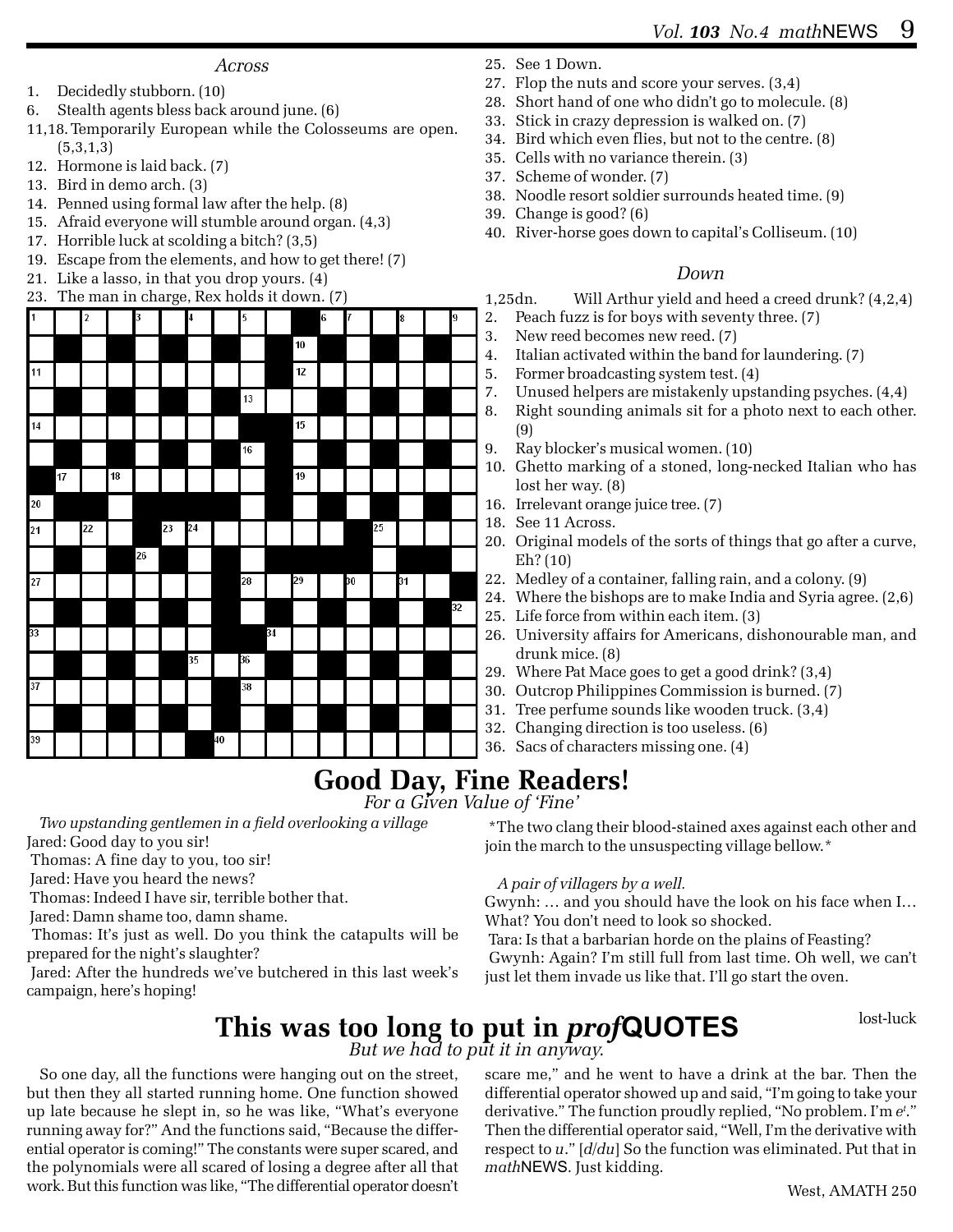#### *Across*

- 1. Decidedly stubborn. (10)
- 6. Stealth agents bless back around june. (6)
- 11,18.Temporarily European while the Colosseums are open. (5,3,1,3)
- 12. Hormone is laid back. (7)
- 13. Bird in demo arch. (3)
- 14. Penned using formal law after the help. (8)
- 15. Afraid everyone will stumble around organ. (4,3)
- 17. Horrible luck at scolding a bitch? (3,5)
- 19. Escape from the elements, and how to get there! (7)
- 21. Like a lasso, in that you drop yours. (4)



- 25. See 1 Down.
- 27. Flop the nuts and score your serves. (3,4)
- 28. Short hand of one who didn't go to molecule. (8)
- 33. Stick in crazy depression is walked on. (7)
- 34. Bird which even flies, but not to the centre. (8)
- 35. Cells with no variance therein. (3)
- 37. Scheme of wonder. (7)
- 38. Noodle resort soldier surrounds heated time. (9)
- 39. Change is good? (6)
- 40. River-horse goes down to capital's Colliseum. (10)

#### *Down*

1,25dn. Will Arthur yield and heed a creed drunk? (4,2,4)

- 2. Peach fuzz is for boys with seventy three. (7)
- 3. New reed becomes new reed. (7)
- 4. Italian activated within the band for laundering. (7)
- 5. Former broadcasting system test. (4)
- 7. Unused helpers are mistakenly upstanding psyches. (4,4)
- 8. Right sounding animals sit for a photo next to each other. (9)
- 9. Ray blocker's musical women. (10)
- 10. Ghetto marking of a stoned, long-necked Italian who has lost her way. (8)
- 16. Irrelevant orange juice tree. (7)
- 18. See 11 Across.
- 20. Original models of the sorts of things that go after a curve, Eh? (10)
- 22. Medley of a container, falling rain, and a colony. (9)
- 24. Where the bishops are to make India and Syria agree. (2,6)
- 25. Life force from within each item. (3)
- 26. University affairs for Americans, dishonourable man, and drunk mice. (8)
- 29. Where Pat Mace goes to get a good drink? (3,4)
- 30. Outcrop Philippines Commission is burned. (7)
- 31. Tree perfume sounds like wooden truck. (3,4)
- 32. Changing direction is too useless. (6)
- 36. Sacs of characters missing one. (4)

## **Good Day, Fine Readers!**

*For a Given Value of 'Fine'*

*Two upstanding gentlemen in a field overlooking a village* Jared: Good day to you sir!

 Thomas: A fine day to you, too sir! Jared: Have you heard the news?

Thomas: Indeed I have sir, terrible bother that.

Jared: Damn shame too, damn shame.

 Thomas: It's just as well. Do you think the catapults will be prepared for the night's slaughter?

 Jared: After the hundreds we've butchered in this last week's campaign, here's hoping!

 \*The two clang their blood-stained axes against each other and join the march to the unsuspecting village bellow.\*

#### *A pair of villagers by a well.*

Gwynh: … and you should have the look on his face when I… What? You don't need to look so shocked.

 Tara: Is that a barbarian horde on the plains of Feasting? Gwynh: Again? I'm still full from last time. Oh well, we can't just let them invade us like that. I'll go start the oven.

**This was too long to put in** *prof***QUOTES** stated best-luck *But we had to put it in anyway.*

So one day, all the functions were hanging out on the street, but then they all started running home. One function showed up late because he slept in, so he was like, "What's everyone running away for?" And the functions said, "Because the differential operator is coming!" The constants were super scared, and the polynomials were all scared of losing a degree after all that work. But this function was like, "The differential operator doesn't

scare me," and he went to have a drink at the bar. Then the differential operator showed up and said, "I'm going to take your derivative." The function proudly replied, "No problem. I'm *et* ." Then the differential operator said, "Well, I'm the derivative with respect to *u*." [*d/du*] So the function was eliminated. Put that in *math*NEWS. Just kidding.